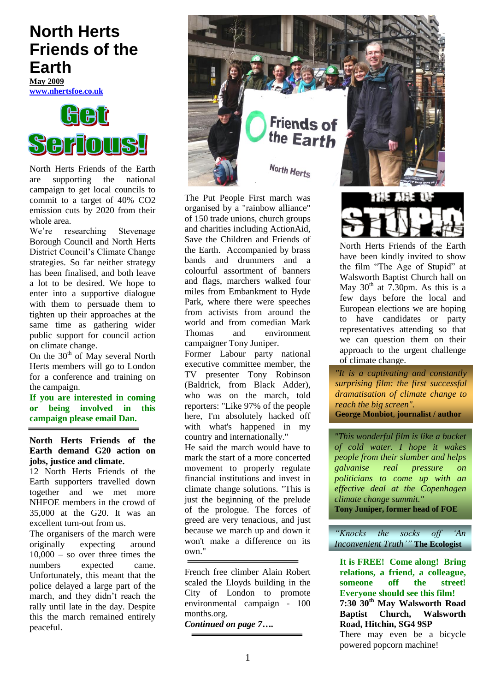# **North Herts Friends of the Earth**

**May 2009 [www.nhertsfoe.co.uk](http://www.nhertsfoe.co.uk/)**



North Herts Friends of the Earth are supporting the national campaign to get local councils to commit to a target of 40% CO2 emission cuts by 2020 from their whole area.

We"re researching Stevenage Borough Council and North Herts District Council"s Climate Change strategies. So far neither strategy has been finalised, and both leave a lot to be desired. We hope to enter into a supportive dialogue with them to persuade them to tighten up their approaches at the same time as gathering wider public support for council action on climate change.

On the  $30<sup>th</sup>$  of May several North Herts members will go to London for a conference and training on the campaign.

**If you are interested in coming or being involved in this campaign please email Dan.**

**North Herts Friends of the Earth demand G20 action on jobs, justice and climate.**

12 North Herts Friends of the Earth supporters travelled down together and we met more NHFOE members in the crowd of 35,000 at the G20. It was an excellent turn-out from us.

The organisers of the march were originally expecting around  $10,000 -$  so over three times the numbers expected came. Unfortunately, this meant that the police delayed a large part of the march, and they didn"t reach the rally until late in the day. Despite this the march remained entirely peaceful.



The Put People First march was organised by a "rainbow alliance" of 150 [trade unions,](http://www.guardian.co.uk/politics/tradeunions) church groups and charities including ActionAid, Save the Children and Friends of the Earth. Accompanied by brass bands and drummers and a colourful assortment of banners and flags, marchers walked four miles from Embankment to Hyde Park, where there were speeches from activists from around the world and from comedian Mark Thomas and environment campaigner Tony Juniper.

Former Labour party national executive committee member, the TV presenter Tony Robinson (Baldrick, from Black Adder), who was on the march, told reporters: "Like 97% of the people here, I'm absolutely hacked off with what's happened in my country and internationally."

He said the march would have to mark the start of a more concerted movement to properly regulate financial institutions and invest in climate change solutions. "This is just the beginning of the prelude of the prologue. The forces of greed are very tenacious, and just because we march up and down it won't make a difference on its own."

French free climber Alain Robert scaled the Lloyds building in the City of London to promote environmental campaign - 100 months.org.

*Continued on page 7….*

North Herts Friends of the Earth have been kindly invited to show the film "The Age of Stupid" at Walsworth Baptist Church hall on May  $30<sup>th</sup>$  at 7.30pm. As this is a few days before the local and European elections we are hoping to have candidates or party representatives attending so that we can question them on their approach to the urgent challenge of climate change.

*"It is a captivating and constantly surprising film: the first successful dramatisation of climate change to reach the big screen".* **George Monbiot**, **journalist / author**

*"This wonderful film is like a bucket of cold water. I hope it wakes people from their slumber and helps galvanise real pressure on politicians to come up with an effective deal at the Copenhagen climate change summit."*  **Tony Juniper, former head of FOE**

*"Knocks the socks off "An Inconvenient Truth""* **The Ecologist**

**It is FREE! Come along! Bring relations, a friend, a colleague, someone off the street! Everyone should see this film! 7:30 30th May Walsworth Road Baptist Church, Walsworth Road, Hitchin, SG4 9SP** There may even be a bicycle powered popcorn machine!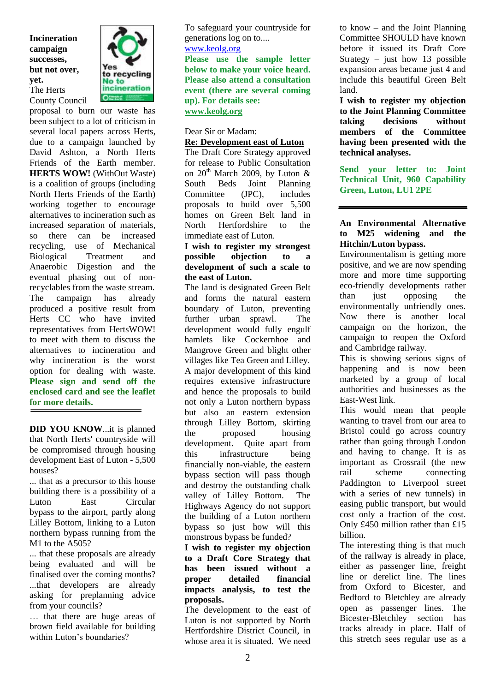**Incineration campaign successes, but not over, yet.** The Herts County Council



proposal to burn our waste has been subject to a lot of criticism in several local papers across Herts, due to a campaign launched by David Ashton, a North Herts Friends of the Earth member. **HERTS WOW!** (WithOut Waste) is a coalition of groups (including North Herts Friends of the Earth) working together to encourage alternatives to incineration such as increased separation of materials, so there can be increased recycling, use of Mechanical Biological Treatment and Anaerobic Digestion and the eventual phasing out of nonrecyclables from the waste stream. The campaign has already produced a positive result from Herts CC who have invited representatives from HertsWOW! to meet with them to discuss the alternatives to incineration and why incineration is the worst option for dealing with waste. **Please sign and send off the enclosed card and see the leaflet for more details.**

**DID YOU KNOW**...it is planned that North Herts' countryside will be compromised through housing development East of Luton - 5,500 houses?

... that as a precursor to this house building there is a possibility of a Luton East Circular bypass to the airport, partly along Lilley Bottom, linking to a Luton northern bypass running from the M1 to the A505?

... that these proposals are already being evaluated and will be finalised over the coming months? ...that developers are already asking for preplanning advice from your councils?

… that there are huge areas of brown field available for building within Luton's boundaries?

To safeguard your countryside for generations log on to.... [www.keolg.org](http://www.keolg.org/)

**Please use the sample letter below to make your voice heard. Please also attend a consultation event (there are several coming up). For details see: [www.keolg.org](http://www.keolg.org/)**

Dear Sir or Madam:

# **Re: Development east of Luton**

The Draft Core Strategy approved for release to Public Consultation on  $20^{th}$  March 2009, by Luton & South Beds Joint Planning Committee (JPC), includes proposals to build over 5,500 homes on Green Belt land in North Hertfordshire to the immediate east of Luton.

#### **I wish to register my strongest possible objection to a development of such a scale to the east of Luton.**

The land is designated Green Belt and forms the natural eastern boundary of Luton, preventing further urban sprawl. The development would fully engulf hamlets like Cockernhoe and Mangrove Green and blight other villages like Tea Green and Lilley. A major development of this kind requires extensive infrastructure and hence the proposals to build not only a Luton northern bypass but also an eastern extension through Lilley Bottom, skirting the proposed housing development. Quite apart from this infrastructure being financially non-viable, the eastern bypass section will pass though and destroy the outstanding chalk valley of Lilley Bottom. The Highways Agency do not support the building of a Luton northern bypass so just how will this monstrous bypass be funded?

#### **I wish to register my objection to a Draft Core Strategy that has been issued without a proper detailed financial impacts analysis, to test the proposals.**

The development to the east of Luton is not supported by North Hertfordshire District Council, in whose area it is situated. We need to know – and the Joint Planning Committee SHOULD have known before it issued its Draft Core Strategy – just how 13 possible expansion areas became just 4 and include this beautiful Green Belt land.

**I wish to register my objection to the Joint Planning Committee taking decisions without members of the Committee having been presented with the technical analyses.**

**Send your letter to: Joint Technical Unit, 960 Capability Green, Luton, LU1 2PE**

## **An Environmental Alternative to M25 widening and the Hitchin/Luton bypass.**

Environmentalism is getting more positive, and we are now spending more and more time supporting eco-friendly developments rather than just opposing the environmentally unfriendly ones. Now there is another local campaign on the horizon, the campaign to reopen the Oxford and Cambridge railway.

This is showing serious signs of happening and is now been marketed by a group of local authorities and businesses as the East-West link.

This would mean that people wanting to travel from our area to Bristol could go across country rather than going through London and having to change. It is as important as Crossrail (the new rail scheme connecting Paddington to Liverpool street with a series of new tunnels) in easing public transport, but would cost only a fraction of the cost. Only £450 million rather than £15 billion.

The interesting thing is that much of the railway is already in place, either as passenger line, freight line or derelict line. The lines from Oxford to Bicester, and Bedford to Bletchley are already open as passenger lines. The Bicester-Bletchley section has tracks already in place. Half of this stretch sees regular use as a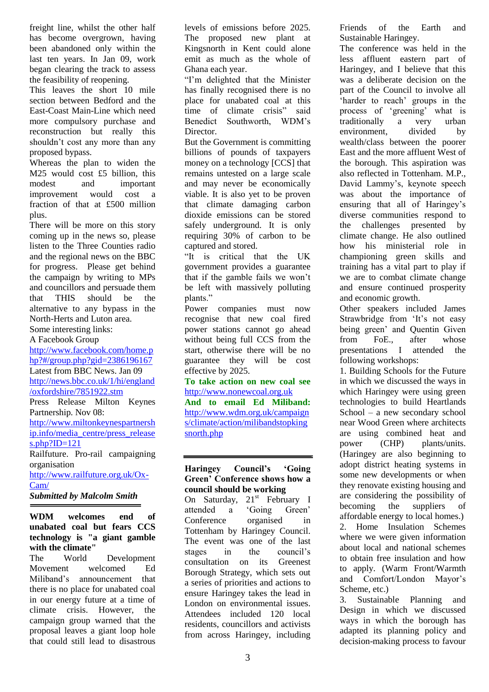freight line, whilst the other half has become overgrown, having been abandoned only within the last ten years. In Jan 09, work began clearing the track to assess the feasibility of reopening.

This leaves the short 10 mile section between Bedford and the East-Coast Main-Line which need more compulsory purchase and reconstruction but really this shouldn"t cost any more than any proposed bypass.

Whereas the plan to widen the M25 would cost £5 billion, this modest and important improvement would cost a fraction of that at £500 million plus.

There will be more on this story coming up in the news so, please listen to the Three Counties radio and the regional news on the BBC for progress. Please get behind the campaign by writing to MPs and councillors and persuade them that THIS should be the alternative to any bypass in the North-Herts and Luton area. Some interesting links:

A Facebook Group

[http://www.facebook.com/home.p](http://www.facebook.com/home.php?#/group.php?gid=2386196167) [hp?#/group.php?gid=2386196167](http://www.facebook.com/home.php?#/group.php?gid=2386196167)

Latest from BBC News. Jan 09 [http://news.bbc.co.uk/1/hi/england](http://news.bbc.co.uk/1/hi/england/oxfordshire/7851922.stm)

[/oxfordshire/7851922.stm](http://news.bbc.co.uk/1/hi/england/oxfordshire/7851922.stm)

Press Release Milton Keynes Partnership. Nov 08: [http://www.miltonkeynespartnersh](http://www.miltonkeynespartnership.info/media_centre/press_releases.php?ID=121) [ip.info/media\\_centre/press\\_release](http://www.miltonkeynespartnership.info/media_centre/press_releases.php?ID=121)  $s.php?ID=121$ Railfuture. Pro-rail campaigning organisation [http://www.railfuture.org.uk/Ox-](http://www.railfuture.org.uk/Ox-Cam/)[Cam/](http://www.railfuture.org.uk/Ox-Cam/)

*Submitted by Malcolm Smith*

#### **WDM welcomes end of unabated coal but fears CCS technology is "a giant gamble with the climate"**

The World Development Movement welcomed Ed Miliband"s announcement that there is no place for unabated coal in our energy future at a time of climate crisis. However, the campaign group warned that the proposal leaves a giant loop hole that could still lead to disastrous

levels of emissions before 2025. The proposed new plant at Kingsnorth in Kent could alone emit as much as the whole of Ghana each year.

"I"m delighted that the Minister has finally recognised there is no place for unabated coal at this time of climate crisis" said Benedict Southworth, WDM"s Director.

But the Government is committing billions of pounds of taxpayers money on a technology [CCS] that remains untested on a large scale and may never be economically viable. It is also yet to be proven that climate damaging carbon dioxide emissions can be stored safely underground. It is only requiring 30% of carbon to be captured and stored.

"It is critical that the UK government provides a guarantee that if the gamble fails we won"t be left with massively polluting plants."

Power companies must now recognise that new coal fired power stations cannot go ahead without being full CCS from the start, otherwise there will be no guarantee they will be cost effective by 2025.

**To take action on new coal see**  [http://www.nonewcoal.org.uk](http://www.nonewcoal.org.uk/)

**And to email Ed Miliband:** [http://www.wdm.org.uk/campaign](http://www.wdm.org.uk/campaigns/climate/action/milibandstopkingsnorth.php) [s/climate/action/milibandstopking](http://www.wdm.org.uk/campaigns/climate/action/milibandstopkingsnorth.php) [snorth.php](http://www.wdm.org.uk/campaigns/climate/action/milibandstopkingsnorth.php)

## **Haringey Council's 'Going Green' Conference shows how a council should be working**

On Saturday, 21<sup>st</sup> February I attended a "Going Green" Conference organised in Tottenham by Haringey Council. The event was one of the last stages in the council's consultation on its Greenest Borough Strategy, which sets out a series of priorities and actions to ensure Haringey takes the lead in London on environmental issues. Attendees included 120 local residents, councillors and activists from across Haringey, including

Friends of the Earth and Sustainable Haringey.

The conference was held in the less affluent eastern part of Haringey, and I believe that this was a deliberate decision on the part of the Council to involve all 'harder to reach' groups in the process of "greening" what is traditionally a very urban environment, divided by wealth/class between the poorer East and the more affluent West of the borough. This aspiration was also reflected in Tottenham. M.P., David Lammy"s, keynote speech was about the importance of ensuring that all of Haringey's diverse communities respond to the challenges presented by climate change. He also outlined how his ministerial role in championing green skills and training has a vital part to play if we are to combat climate change and ensure continued prosperity and economic growth.

Other speakers included James Strawbridge from 'It's not easy being green" and Quentin Given from FoE., after whose presentations I attended the following workshops:

1. Building Schools for the Future in which we discussed the ways in which Haringey were using green technologies to build Heartlands School – a new secondary school near Wood Green where architects are using combined heat and power (CHP) plants/units. (Haringey are also beginning to adopt district heating systems in some new developments or when they renovate existing housing and are considering the possibility of becoming the suppliers of affordable energy to local homes.) 2. Home Insulation Schemes where we were given information about local and national schemes to obtain free insulation and how to apply. (Warm Front/Warmth and Comfort/London Mayor"s Scheme, etc.)

3. Sustainable Planning and Design in which we discussed ways in which the borough has adapted its planning policy and decision-making process to favour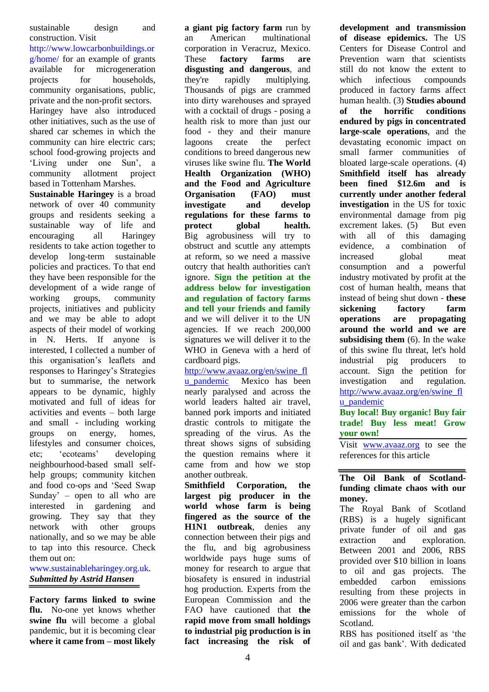sustainable design and construction. Visit

[http://www.lowcarbonbuildings.or](http://www.lowcarbonbuildings.org/home/) [g/home/](http://www.lowcarbonbuildings.org/home/) for an example of grants available for microgeneration projects for households, community organisations, public, private and the non-profit sectors. Haringey have also introduced other initiatives, such as the use of shared car schemes in which the community can hire electric cars; school food-growing projects and 'Living under one Sun', a community allotment project based in Tottenham Marshes.

**Sustainable Haringey** is a broad network of over 40 community groups and residents seeking a sustainable way of life and encouraging all Haringey residents to take action together to develop long-term sustainable policies and practices. To that end they have been responsible for the development of a wide range of working groups, community projects, initiatives and publicity and we may be able to adopt aspects of their model of working in N. Herts. If anyone is interested, I collected a number of this organisation"s leaflets and responses to Haringey"s Strategies but to summarise, the network appears to be dynamic, highly motivated and full of ideas for activities and events – both large and small - including working groups on energy, homes, lifestyles and consumer choices, etc; "ecoteams" developing neighbourhood-based small selfhelp groups; community kitchen and food co-ops and "Seed Swap Sunday' – open to all who are interested in gardening and growing. They say that they network with other groups nationally, and so we may be able to tap into this resource. Check them out on:

[www.sustainableharingey.org.uk.](http://www.sustainableharingey.org.uk/) *Submitted by Astrid Hansen*

**Factory farms linked to swine flu.** No-one yet knows whether **swine flu** will become a global pandemic, but it is becoming clear **where it came from – most likely** 

**a giant pig factory farm** run by an American multinational corporation in Veracruz, Mexico. These **factory farms are disgusting and dangerous**, and they're rapidly multiplying. Thousands of pigs are crammed into dirty warehouses and sprayed with a cocktail of drugs - posing a health risk to more than just our food - they and their manure lagoons create the perfect conditions to breed dangerous new viruses like swine flu. **The World Health Organization (WHO) and the Food and Agriculture Organisation (FAO) must investigate and develop regulations for these farms to protect global health.** Big agrobusiness will try to obstruct and scuttle any attempts at reform, so we need a massive outcry that health authorities can't ignore. **Sign the petition at the address below for investigation and regulation of factory farms and tell your friends and family** and we will deliver it to the UN agencies. If we reach 200,000 signatures we will deliver it to the WHO in Geneva with a herd of cardboard pigs.

[http://www.avaaz.org/en/swine\\_fl](http://www.avaaz.org/en/swine_flu_pandemic?cl=225380612&v=3271) u pandemic Mexico has been nearly paralysed and across the world leaders halted air travel, banned pork imports and initiated drastic controls to mitigate the spreading of the virus. As the threat shows signs of subsiding the question remains where it came from and how we stop another outbreak.

**Smithfield Corporation, the largest pig producer in the world whose farm is being fingered as the source of the H1N1 outbreak**, denies any connection between their pigs and the flu, and big agrobusiness worldwide pays huge sums of money for research to argue that biosafety is ensured in industrial hog production. Experts from the European Commission and the FAO have cautioned that **the rapid move from small holdings to industrial pig production is in fact increasing the risk of**  **development and transmission of disease epidemics.** The US Centers for Disease Control and Prevention warn that scientists still do not know the extent to which infectious compounds produced in factory farms affect human health. (3) **Studies abound of the horrific conditions endured by pigs in concentrated large-scale operations**, and the devastating economic impact on small farmer communities of bloated large-scale operations. (4) **Smithfield itself has already been fined \$12.6m and is currently under another federal investigation** in the US for toxic environmental damage from pig excrement lakes. (5) But even with all of this damaging evidence, a combination of increased global meat consumption and a powerful industry motivated by profit at the cost of human health, means that instead of being shut down - **these sickening factory farm operations are propagating around the world and we are subsidising them** (6). In the wake of this swine flu threat, let's hold industrial pig producers to account. Sign the petition for investigation and regulation. [http://www.avaaz.org/en/swine\\_fl](http://www.avaaz.org/en/swine_flu_pandemic?cl=225380612&v=3271) u pandemic

**Buy local! Buy organic! Buy fair trade! Buy less meat! Grow your own!**

Visit [www.avaaz.org](http://www.avaaz.org/) to see the references for this article

## **The Oil Bank of Scotlandfunding climate chaos with our money.**

The Royal Bank of Scotland (RBS) is a hugely significant private funder of oil and gas extraction and exploration. Between 2001 and 2006, RBS provided over \$10 billion in loans to oil and gas projects. The [embedded](http://peopleandplanet.org/ditchdirtydevelopment/privatefunding#EE) carbon emissions resulting from these projects in 2006 were greater than the carbon emissions for the whole of Scotland.

RBS has positioned itself as "the oil and gas bank". With dedicated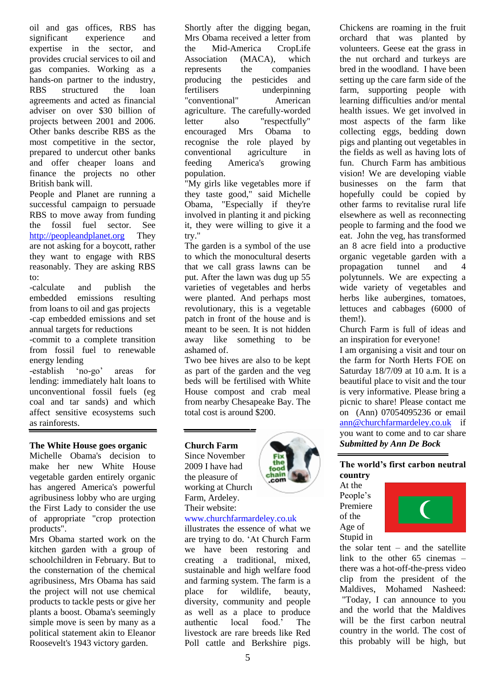oil and gas offices, RBS has significant experience and expertise in the sector, and provides crucial services to oil and gas companies. Working as a hands-on partner to the industry, RBS structured the loan agreements and acted as financial adviser on over \$30 billion of projects between 2001 and 2006. Other banks describe RBS as the most competitive in the sector, prepared to undercut other banks and offer cheaper loans and finance the projects no other British bank will.

People and Planet are running a successful campaign to persuade RBS to move away from funding the fossil fuel sector. See [http://peopleandplanet.org](http://peopleandplanet.org/) They are not asking for a boycott, rather they want to engage with RBS reasonably. They are asking RBS  $t^{\Omega}$ 

-calculate and publish the embedded emissions resulting from loans to oil and gas projects -cap embedded emissions and set annual targets for reductions

-commit to a complete transition from fossil fuel to renewable energy lending

-establish 'no-go' areas for lending: immediately halt loans to unconventional fossil fuels (eg coal and tar sands) and which affect sensitive ecosystems such as rainforests.

#### **The White House goes organic**

Michelle Obama's decision to make her new White House vegetable garden entirely organic has angered America's powerful agribusiness lobby who are urging the First Lady to consider the use of appropriate "crop protection products".

Mrs Obama started work on the kitchen garden with a group of schoolchildren in February. But to the consternation of the chemical agribusiness, Mrs Obama has said the project will not use chemical products to tackle pests or give her plants a boost. Obama's seemingly simple move is seen by many as a political statement akin to Eleanor Roosevelt's 1943 victory garden.

Shortly after the digging began, Mrs Obama received a letter from the Mid-America CropLife Association (MACA), which represents the companies producing the pesticides and fertilisers underpinning "conventional" American agriculture. The carefully-worded letter also "respectfully" encouraged Mrs Obama to recognise the role played by conventional agriculture in feeding America's growing population.

"My girls like vegetables more if they taste good," said [Michelle](http://www.guardian.co.uk/world/michelleobama)  [Obama,](http://www.guardian.co.uk/world/michelleobama) "Especially if they're involved in planting it and picking it, they were willing to give it a try."

The garden is a symbol of the use to which the monocultural deserts that we call grass lawns can be put. After the lawn was dug up 55 varieties of vegetables and herbs were planted. And perhaps most revolutionary, this is a vegetable patch in front of the house and is meant to be seen. It is not hidden away like something to be ashamed of.

Two bee hives are also to be kept as part of the garden and the veg beds will be fertilised with White House compost and crab meal from nearby Chesapeake Bay. The total cost is around \$200.

## **Church Farm**

Since November 2009 I have had the pleasure of working at Church Farm, Ardeley. Their website:



# www.churchfarmardeley.co.uk

illustrates the essence of what we are trying to do. "At Church Farm we have been restoring and creating a traditional, mixed, sustainable and high welfare food and farming system. The farm is a place for wildlife, beauty, diversity, community and people as well as a place to produce<br>authentic local food.' The authentic local food." The livestock are rare breeds like Red Poll cattle and Berkshire pigs.

Chickens are roaming in the fruit orchard that was planted by volunteers. Geese eat the grass in the nut orchard and turkeys are bred in the woodland. I have been setting up the care farm side of the farm, supporting people with learning difficulties and/or mental health issues. We get involved in most aspects of the farm like collecting eggs, bedding down pigs and planting out vegetables in the fields as well as having lots of fun. Church Farm has ambitious vision! We are developing viable businesses on the farm that hopefully could be copied by other farms to revitalise rural life elsewhere as well as reconnecting people to farming and the food we eat. John the veg, has transformed an 8 acre field into a productive organic vegetable garden with a propagation tunnel and 4 polytunnels. We are expecting a wide variety of vegetables and herbs like aubergines, tomatoes, lettuces and cabbages (6000 of them!).

Church Farm is full of ideas and an inspiration for everyone!

I am organising a visit and tour on the farm for North Herts FOE on Saturday 18/7/09 at 10 a.m. It is a beautiful place to visit and the tour is very informative. Please bring a picnic to share! Please contact me on (Ann) 07054095236 or email [ann@churchfarmardeley.co.uk](mailto:ann@churchfarmardeley.co.uk) if you want to come and to car share *Submitted by Ann De Bock*

#### **The world's first carbon neutral country**

At the People's Premiere of the Age of Stupid in



the solar tent – and the satellite link to the other 65 cinemas – there was a hot-off-the-press [video](http://www.ageofstupid.net/news/maldives_become_carbon_limbo_world_champions)  [clip from the president of the](http://www.ageofstupid.net/news/maldives_become_carbon_limbo_world_champions)  [Maldives,](http://www.ageofstupid.net/news/maldives_become_carbon_limbo_world_champions) Mohamed Nasheed: "Today, I can announce to you and the world that the Maldives will be the first carbon neutral country in the world. The cost of this probably will be high, but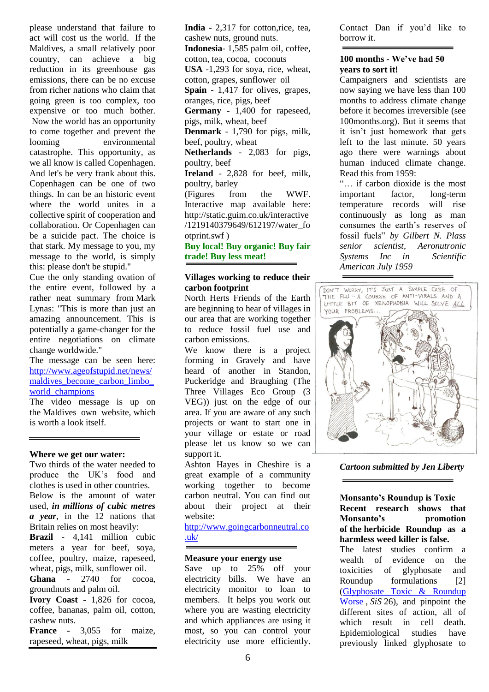please understand that failure to act will cost us the world. If the Maldives, a small relatively poor country, can achieve a big reduction in its greenhouse gas emissions, there can be no excuse from richer nations who claim that going green is too complex, too expensive or too much bother. Now the world has an opportunity to come together and prevent the looming environmental catastrophe. This opportunity, as we all know is called Copenhagen. And let's be very frank about this. Copenhagen can be one of two things. In can be an historic event where the world unites in a collective spirit of cooperation and collaboration. Or Copenhagen can be a suicide pact. The choice is that stark. My message to you, my message to the world, is simply this: please don't be stupid."

Cue the only standing ovation of the entire event, followed by a rather neat summary from Mark Lynas: "This is more than just an amazing announcement. This is potentially a game-changer for the entire negotiations on climate change worldwide."

The message can be seen here: [http://www.ageofstupid.net/news/](http://www.ageofstupid.net/news/maldives_become_carbon_limbo_world_champions) [maldives\\_become\\_carbon\\_limbo\\_](http://www.ageofstupid.net/news/maldives_become_carbon_limbo_world_champions) [world\\_champions](http://www.ageofstupid.net/news/maldives_become_carbon_limbo_world_champions)

The video message is up on the [Maldives own website,](http://www.minivannews.com/news_detail.php?id=6176) which is worth a look itself.

#### **Where we get our water:**

Two thirds of the water needed to produce the UK"s food and clothes is used in other countries. Below is the amount of water used, *in millions of cubic metres a year*, in the 12 nations that Britain relies on most heavily:

**Brazil** - 4,141 million cubic meters a year for beef, soya, coffee, poultry, maize, rapeseed, wheat, pigs, milk, sunflower oil.

**Ghana** - 2740 for cocoa, groundnuts and palm oil.

**Ivory Coast** - 1,826 for cocoa, coffee, bananas, palm oil, cotton, cashew nuts.

**France** - 3,055 for maize, rapeseed, wheat, pigs, milk

**India** - 2,317 for cotton,rice, tea, cashew nuts, ground nuts. **Indonesia**- 1,585 palm oil, coffee, cotton, tea, cocoa, coconuts **USA** -1,293 for soya, rice, wheat, cotton, grapes, sunflower oil **Spain** - 1,417 for olives, grapes, oranges, rice, pigs, beef **Germany** - 1,400 for rapeseed, pigs, milk, wheat, beef **Denmark** - 1,790 for pigs, milk, beef, poultry, wheat **Netherlands** - 2,083 for pigs, poultry, beef **Ireland** - 2,828 for beef, milk, poultry, barley (Figures from the WWF. Interactive map available here: http://static.guim.co.uk/interactive /1219140379649/612197/water\_fo otprint.swf ) **Buy local! Buy organic! Buy fair trade! Buy less meat!**

#### **Villages working to reduce their carbon footprint**

North Herts Friends of the Earth are beginning to hear of villages in our area that are working together to reduce fossil fuel use and carbon emissions.

We know there is a project forming in Gravely and have heard of another in Standon, Puckeridge and Braughing (The Three Villages Eco Group (3 VEG)) just on the edge of our area. If you are aware of any such projects or want to start one in your village or estate or road please let us know so we can support it.

Ashton Hayes in Cheshire is a great example of a community working together to become carbon neutral. You can find out about their project at their website:

[http://www.goingcarbonneutral.co](http://www.goingcarbonneutral.co.uk/) [.uk/](http://www.goingcarbonneutral.co.uk/)

#### **Measure your energy use**

Save up to 25% off your electricity bills. We have an electricity monitor to loan to members. It helps you work out where you are wasting electricity and which appliances are using it most, so you can control your electricity use more efficiently.

Contact Dan if you"d like to borrow it.

#### **100 months - We've had 50 years to sort it!**

Campaigners and scientists are now saying we have less than 100 months to address climate change before it becomes irreversible (see 100months.org). But it seems that it isn"t just homework that gets left to the last minute. 50 years ago there were warnings about human induced climate change. Read this from 1959:

"… if carbon dioxide is the most important factor, long-term temperature records will rise continuously as long as man consumes the earth"s reserves of fossil fuels" *by Gilbert N. Plass senior scientist, Aeronutronic Systems Inc in Scientific American July 1959*



*Cartoon submitted by Jen Liberty*

**Monsanto's Roundup is Toxic Recent research shows that Monsanto's promotion of the herbicide Roundup as a harmless weed killer is false.** 

The latest studies confirm a wealth of evidence on the toxicities of glyphosate and Roundup formulations [2] [\(Glyphosate Toxic & Roundup](http://www.i-sis.org.uk/GTARW.php)  [Worse](http://www.i-sis.org.uk/GTARW.php) , *SiS* 26), and pinpoint the different sites of action, all of which result in cell death. Epidemiological studies have previously linked glyphosate to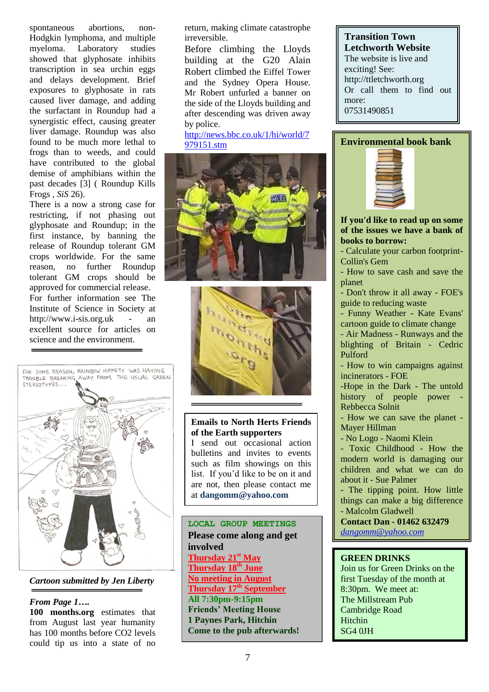spontaneous abortions, non-Hodgkin lymphoma, and multiple myeloma. Laboratory studies showed that glyphosate inhibits transcription in sea urchin eggs and delays development. Brief exposures to glyphosate in rats caused liver damage, and adding the surfactant in Roundup had a synergistic effect, causing greater liver damage. Roundup was also found to be much more lethal to frogs than to weeds, and could have contributed to the global demise of amphibians within the past decades [3] ( Roundup Kills Frogs , *SiS* 26).

There is a now a strong case for restricting, if not phasing out glyphosate and Roundup; in the first instance, by banning the release of Roundup tolerant GM crops worldwide. For the same reason, no further Roundup tolerant GM crops should be approved for commercial release. For further information see The Institute of Science in Society at http://www.i-sis.org.uk - an excellent source for articles on science and the environment.



*Cartoon submitted by Jen Liberty*

## *From Page 1….*

**100 months.org** estimates that from August last year humanity has 100 months before CO2 levels could tip us into a state of no

return, making climate catastrophe irreversible.

Before climbing the Lloyds building at the G20 Alain Robert climbed the Eiffel Tower and the Sydney Opera House. Mr Robert unfurled a banner on the side of the Lloyds building and after descending was driven away by police.

[http://news.bbc.co.uk/1/hi/world/7](http://news.bbc.co.uk/1/hi/world/7979151.stm) [979151.stm](http://news.bbc.co.uk/1/hi/world/7979151.stm)





# **Emails to North Herts Friends of the Earth supporters**

I send out occasional action bulletins and invites to events such as film showings on this list. If you"d like to be on it and are not, then please contact me at **dangomm@yahoo.com**

**LOCAL GROUP MEETINGS Please come along and get involved Thursday 21st May Thursday 18th June No meeting in August Thursday 17th September All 7:30pm-9:15pm Friends' Meeting House 1 Paynes Park, Hitchin Come to the pub afterwards!**

# **Transition Town Letchworth Website**

The website is live and exciting! See: http://ttletchworth.org Or call them to find out more: 07531490851

# **Environmental book bank**



**If you'd like to read up on some of the issues we have a bank of books to borrow:**

- Calculate your carbon footprint-Collin's Gem

- How to save cash and save the planet
- Don't throw it all away FOE's guide to reducing waste
- Funny Weather Kate Evans' cartoon guide to climate change
- Air Madness Runways and the blighting of Britain - Cedric Pulford

- How to win campaigns against incinerators - FOE

-Hope in the Dark - The untold history of people power Rebbecca Solnit

- How we can save the planet - Mayer Hillman

- No Logo - Naomi Klein

- Toxic Childhood - How the modern world is damaging our children and what we can do about it - Sue Palmer

- The tipping point. How little things can make a big difference - Malcolm Gladwell

**Contact Dan - 01462 632479** *dangomm@yahoo.com*

# **GREEN DRINKS**

Join us for Green Drinks on the first Tuesday of the month at 8:30pm. We meet at: The Millstream Pub Cambridge Road Hitchin SG4 0JH